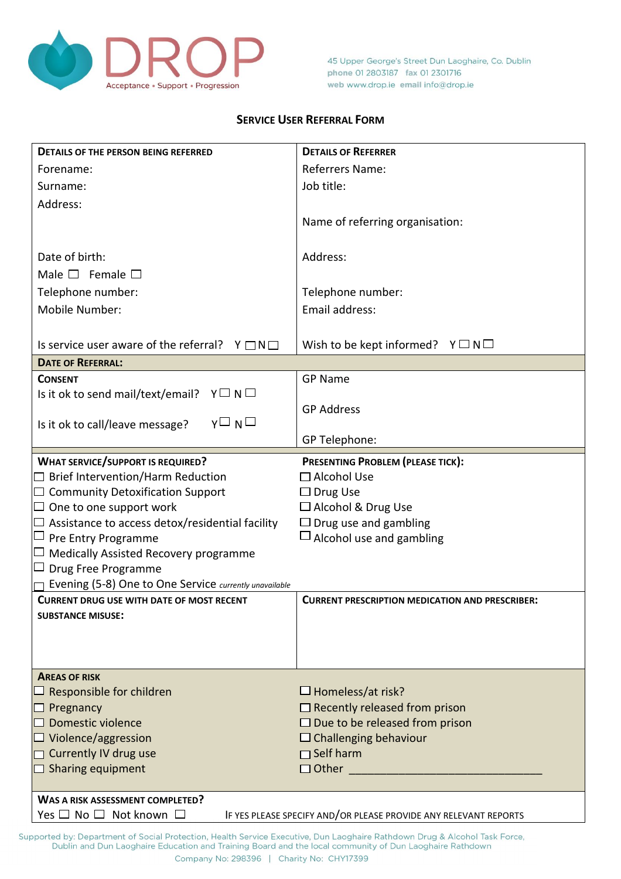

45 Upper George's Street Dun Laoghaire, Co. Dublin phone 01 2803187 fax 01 2301716 web www.drop.ie email info@drop.ie

## **SERVICE USER REFERRAL FORM**

| <b>DETAILS OF THE PERSON BEING REFERRED</b>                                                                | <b>DETAILS OF REFERRER</b>                             |  |  |
|------------------------------------------------------------------------------------------------------------|--------------------------------------------------------|--|--|
| Forename:                                                                                                  | <b>Referrers Name:</b>                                 |  |  |
| Surname:                                                                                                   | Job title:                                             |  |  |
| Address:                                                                                                   |                                                        |  |  |
|                                                                                                            | Name of referring organisation:                        |  |  |
|                                                                                                            |                                                        |  |  |
| Date of birth:                                                                                             | Address:                                               |  |  |
| Male $\square$ Female $\square$                                                                            |                                                        |  |  |
| Telephone number:                                                                                          | Telephone number:                                      |  |  |
| Mobile Number:                                                                                             | Email address:                                         |  |  |
|                                                                                                            |                                                        |  |  |
| Is service user aware of the referral? $Y \square N \square$                                               | Wish to be kept informed? $Y \square N \square$        |  |  |
| <b>DATE OF REFERRAL:</b>                                                                                   |                                                        |  |  |
| <b>CONSENT</b>                                                                                             | <b>GP Name</b>                                         |  |  |
| Is it ok to send mail/text/email? $Y \square N \square$                                                    | <b>GP Address</b>                                      |  |  |
| $Y \square N \square$<br>Is it ok to call/leave message?                                                   |                                                        |  |  |
|                                                                                                            | GP Telephone:                                          |  |  |
| <b>WHAT SERVICE/SUPPORT IS REQUIRED?</b>                                                                   | PRESENTING PROBLEM (PLEASE TICK):                      |  |  |
| $\Box$ Brief Intervention/Harm Reduction                                                                   | $\Box$ Alcohol Use                                     |  |  |
| $\Box$ Community Detoxification Support                                                                    | $\Box$ Drug Use                                        |  |  |
| $\Box$ One to one support work                                                                             | $\Box$ Alcohol & Drug Use                              |  |  |
| $\Box$ Assistance to access detox/residential facility                                                     | $\Box$ Drug use and gambling                           |  |  |
| $\Box$ Pre Entry Programme                                                                                 | $\Box$ Alcohol use and gambling                        |  |  |
| $\Box$ Medically Assisted Recovery programme                                                               |                                                        |  |  |
| $\Box$ Drug Free Programme                                                                                 |                                                        |  |  |
| Evening (5-8) One to One Service currently unavailable<br><b>CURRENT DRUG USE WITH DATE OF MOST RECENT</b> |                                                        |  |  |
| <b>SUBSTANCE MISUSE:</b>                                                                                   | <b>CURRENT PRESCRIPTION MEDICATION AND PRESCRIBER:</b> |  |  |
|                                                                                                            |                                                        |  |  |
|                                                                                                            |                                                        |  |  |
|                                                                                                            |                                                        |  |  |
| <b>AREAS OF RISK</b>                                                                                       |                                                        |  |  |
| $\Box$ Responsible for children                                                                            | $\Box$ Homeless/at risk?                               |  |  |
| $\Box$ Pregnancy                                                                                           | $\Box$ Recently released from prison                   |  |  |
| $\Box$ Domestic violence                                                                                   | $\Box$ Due to be released from prison                  |  |  |
| $\Box$ Violence/aggression<br>$\Box$ Currently IV drug use                                                 | $\Box$ Challenging behaviour<br>$\Box$ Self harm       |  |  |
| $\Box$ Sharing equipment                                                                                   | $\Box$ Other                                           |  |  |
|                                                                                                            |                                                        |  |  |
| <b>WAS A RISK ASSESSMENT COMPLETED?</b>                                                                    |                                                        |  |  |
| Yes $\Box$ No $\Box$ Not known $\Box$<br>IF YES PLEASE SPECIFY AND/OR PLEASE PROVIDE ANY RELEVANT REPORTS  |                                                        |  |  |

Supported by: Department of Social Protection, Health Service Executive, Dun Laoghaire Rathdown Drug & Alcohol Task Force,<br>Dublin and Dun Laoghaire Education and Training Board and the local community of Dun Laoghaire Rath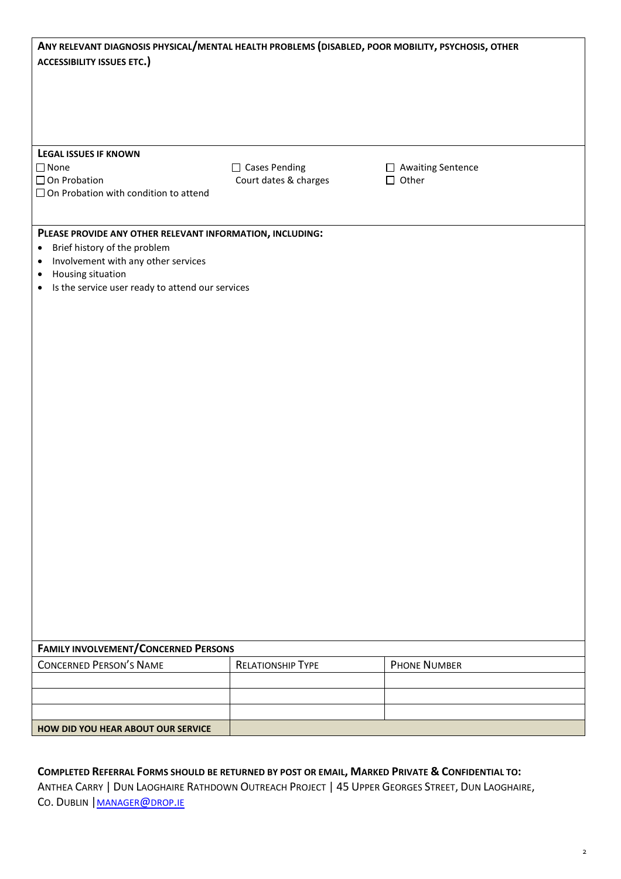| ANY RELEVANT DIAGNOSIS PHYSICAL/MENTAL HEALTH PROBLEMS (DISABLED, POOR MOBILITY, PSYCHOSIS, OTHER<br><b>ACCESSIBILITY ISSUES ETC.)</b>                                                                                                                        |                                               |                                     |  |  |
|---------------------------------------------------------------------------------------------------------------------------------------------------------------------------------------------------------------------------------------------------------------|-----------------------------------------------|-------------------------------------|--|--|
|                                                                                                                                                                                                                                                               |                                               |                                     |  |  |
| <b>LEGAL ISSUES IF KNOWN</b><br>$\square$ None<br>□ On Probation<br>$\Box$ On Probation with condition to attend                                                                                                                                              | $\Box$ Cases Pending<br>Court dates & charges | □ Awaiting Sentence<br>$\Box$ Other |  |  |
| PLEASE PROVIDE ANY OTHER RELEVANT INFORMATION, INCLUDING:<br>Brief history of the problem<br>$\bullet$<br>Involvement with any other services<br>$\bullet$<br>Housing situation<br>$\bullet$<br>Is the service user ready to attend our services<br>$\bullet$ |                                               |                                     |  |  |
|                                                                                                                                                                                                                                                               |                                               |                                     |  |  |
|                                                                                                                                                                                                                                                               |                                               |                                     |  |  |
| <b>FAMILY INVOLVEMENT/CONCERNED PERSONS</b>                                                                                                                                                                                                                   |                                               |                                     |  |  |
| <b>CONCERNED PERSON'S NAME</b>                                                                                                                                                                                                                                | <b>RELATIONSHIP TYPE</b>                      | <b>PHONE NUMBER</b>                 |  |  |
|                                                                                                                                                                                                                                                               |                                               |                                     |  |  |
|                                                                                                                                                                                                                                                               |                                               |                                     |  |  |
| HOW DID YOU HEAR ABOUT OUR SERVICE                                                                                                                                                                                                                            |                                               |                                     |  |  |

## **COMPLETED REFERRAL FORMS SHOULD BE RETURNED BY POST OR EMAIL, MARKED PRIVATE & CONFIDENTIAL TO:**

ANTHEA CARRY | DUN LAOGHAIRE RATHDOWN OUTREACH PROJECT | 45 UPPER GEORGES STREET, DUN LAOGHAIRE, CO. DUBLIN | [MANAGER](mailto:manager@drop.ie)@DROP.IE